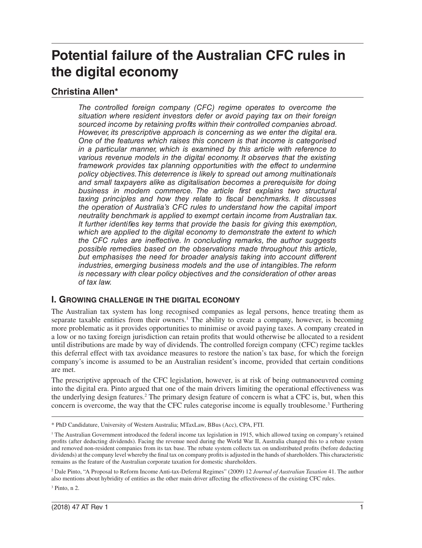# **Potential failure of the Australian CFC rules in the digital economy**

# **Christina Allen\***

*The controlled foreign company (CFC) regime operates to overcome the situation where resident investors defer or avoid paying tax on their foreign sourced income by retaining profits within their controlled companies abroad. However, its prescriptive approach is concerning as we enter the digital era. One of the features which raises this concern is that income is categorised in a particular manner, which is examined by this article with reference to*  various revenue models in the digital economy. It observes that the existing *framework provides tax planning opportunities with the effect to undermine policy objectives. This deterrence is likely to spread out among multinationals and small taxpayers alike as digitalisation becomes a prerequisite for doing business in modern commerce. The article first explains two structural taxing principles and how they relate to fiscal benchmarks. It discusses the operation of Australia's CFC rules to understand how the capital import neutrality benchmark is applied to exempt certain income from Australian tax. It further identifies key terms that provide the basis for giving this exemption, which are applied to the digital economy to demonstrate the extent to which the CFC rules are ineffective. In concluding remarks, the author suggests possible remedies based on the observations made throughout this article, but emphasises the need for broader analysis taking into account different industries, emerging business models and the use of intangibles. The reform is necessary with clear policy objectives and the consideration of other areas of tax law.*

### **I. GROWING CHALLENGE IN THE DIGITAL ECONOMY**

The Australian tax system has long recognised companies as legal persons, hence treating them as separate taxable entities from their owners.<sup>1</sup> The ability to create a company, however, is becoming more problematic as it provides opportunities to minimise or avoid paying taxes. A company created in a low or no taxing foreign jurisdiction can retain profits that would otherwise be allocated to a resident until distributions are made by way of dividends. The controlled foreign company (CFC) regime tackles this deferral effect with tax avoidance measures to restore the nation's tax base, for which the foreign company's income is assumed to be an Australian resident's income, provided that certain conditions are met.

The prescriptive approach of the CFC legislation, however, is at risk of being outmanoeuvred coming into the digital era. Pinto argued that one of the main drivers limiting the operational effectiveness was the underlying design features.2 The primary design feature of concern is what a CFC is, but, when this concern is overcome, the way that the CFC rules categorise income is equally troublesome.<sup>3</sup> Furthering

2 Dale Pinto, "A Proposal to Reform Income Anti-tax-Deferral Regimes" (2009) 12 *Journal of Australian Taxation* 41. The author also mentions about hybridity of entities as the other main driver affecting the effectiveness of the existing CFC rules.

3 Pinto, n 2.

<sup>\*</sup> PhD Candidature, University of Western Australia; MTaxLaw, BBus (Acc), CPA, FTI.

<sup>&</sup>lt;sup>1</sup> The Australian Government introduced the federal income tax legislation in 1915, which allowed taxing on company's retained profits (after deducting dividends). Facing the revenue need during the World War II, Australia changed this to a rebate system and removed non-resident companies from its tax base. The rebate system collects tax on undistributed profits (before deducting dividends) at the company level whereby the final tax on company profits is adjusted in the hands of shareholders. This characteristic remains as the feature of the Australian corporate taxation for domestic shareholders.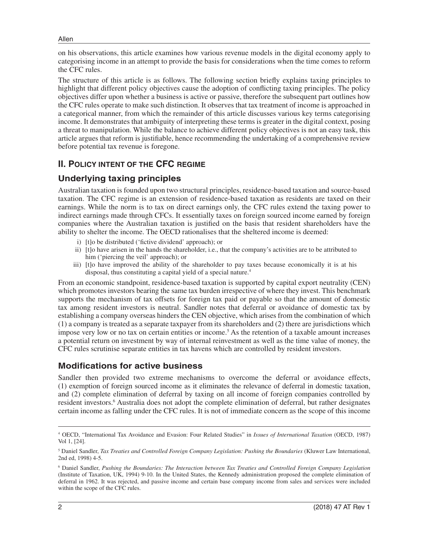Allen

on his observations, this article examines how various revenue models in the digital economy apply to categorising income in an attempt to provide the basis for considerations when the time comes to reform the CFC rules.

The structure of this article is as follows. The following section briefly explains taxing principles to highlight that different policy objectives cause the adoption of conflicting taxing principles. The policy objectives differ upon whether a business is active or passive, therefore the subsequent part outlines how the CFC rules operate to make such distinction. It observes that tax treatment of income is approached in a categorical manner, from which the remainder of this article discusses various key terms categorising income. It demonstrates that ambiguity of interpreting these terms is greater in the digital context, posing a threat to manipulation. While the balance to achieve different policy objectives is not an easy task, this article argues that reform is justifiable, hence recommending the undertaking of a comprehensive review before potential tax revenue is foregone.

# **II. POLICY INTENT OF THE CFC REGIME**

# **Underlying taxing principles**

Australian taxation is founded upon two structural principles, residence-based taxation and source-based taxation. The CFC regime is an extension of residence-based taxation as residents are taxed on their earnings. While the norm is to tax on direct earnings only, the CFC rules extend the taxing power to indirect earnings made through CFCs. It essentially taxes on foreign sourced income earned by foreign companies where the Australian taxation is justified on the basis that resident shareholders have the ability to shelter the income. The OECD rationalises that the sheltered income is deemed:

- i) [t]o be distributed ('fictive dividend' approach); or
- ii) [t]o have arisen in the hands the shareholder, i.e., that the company's activities are to be attributed to him ('piercing the veil' approach); or
- iii) [t]o have improved the ability of the shareholder to pay taxes because economically it is at his disposal, thus constituting a capital yield of a special nature.<sup>4</sup>

From an economic standpoint, residence-based taxation is supported by capital export neutrality (CEN) which promotes investors bearing the same tax burden irrespective of where they invest. This benchmark supports the mechanism of tax offsets for foreign tax paid or payable so that the amount of domestic tax among resident investors is neutral. Sandler notes that deferral or avoidance of domestic tax by establishing a company overseas hinders the CEN objective, which arises from the combination of which (1) a company is treated as a separate taxpayer from its shareholders and (2) there are jurisdictions which impose very low or no tax on certain entities or income.<sup>5</sup> As the retention of a taxable amount increases a potential return on investment by way of internal reinvestment as well as the time value of money, the CFC rules scrutinise separate entities in tax havens which are controlled by resident investors.

### **Modifications for active business**

Sandler then provided two extreme mechanisms to overcome the deferral or avoidance effects, (1) exemption of foreign sourced income as it eliminates the relevance of deferral in domestic taxation, and (2) complete elimination of deferral by taxing on all income of foreign companies controlled by resident investors.<sup>6</sup> Australia does not adopt the complete elimination of deferral, but rather designates certain income as falling under the CFC rules. It is not of immediate concern as the scope of this income

<sup>4</sup> OECD, "International Tax Avoidance and Evasion: Four Related Studies" in *Issues of International Taxation* (OECD, 1987) Vol 1, [24].

<sup>5</sup> Daniel Sandler, *Tax Treaties and Controlled Foreign Company Legislation: Pushing the Boundaries* (Kluwer Law International, 2nd ed, 1998) 4-5.

<sup>6</sup> Daniel Sandler, *Pushing the Boundaries: The Interaction between Tax Treaties and Controlled Foreign Company Legislation* (Institute of Taxation, UK, 1994) 9-10. In the United States, the Kennedy administration proposed the complete elimination of deferral in 1962. It was rejected, and passive income and certain base company income from sales and services were included within the scope of the CFC rules.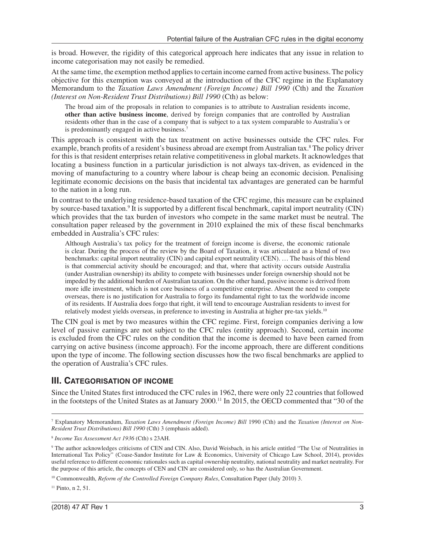is broad. However, the rigidity of this categorical approach here indicates that any issue in relation to income categorisation may not easily be remedied.

At the same time, the exemption method applies to certain income earned from active business. The policy objective for this exemption was conveyed at the introduction of the CFC regime in the Explanatory Memorandum to the *Taxation Laws Amendment (Foreign Income) Bill 1990* (Cth) and the *Taxation (Interest on Non-Resident Trust Distributions) Bill 1990* (Cth) as below:

The broad aim of the proposals in relation to companies is to attribute to Australian residents income, **other than active business income**, derived by foreign companies that are controlled by Australian residents other than in the case of a company that is subject to a tax system comparable to Australia's or is predominantly engaged in active business.7

This approach is consistent with the tax treatment on active businesses outside the CFC rules. For example, branch profits of a resident's business abroad are exempt from Australian tax.8 The policy driver for this is that resident enterprises retain relative competitiveness in global markets. It acknowledges that locating a business function in a particular jurisdiction is not always tax-driven, as evidenced in the moving of manufacturing to a country where labour is cheap being an economic decision. Penalising legitimate economic decisions on the basis that incidental tax advantages are generated can be harmful to the nation in a long run.

In contrast to the underlying residence-based taxation of the CFC regime, this measure can be explained by source-based taxation.<sup>9</sup> It is supported by a different fiscal benchmark, capital import neutrality (CIN) which provides that the tax burden of investors who compete in the same market must be neutral. The consultation paper released by the government in 2010 explained the mix of these fiscal benchmarks embedded in Australia's CFC rules:

Although Australia's tax policy for the treatment of foreign income is diverse, the economic rationale is clear. During the process of the review by the Board of Taxation, it was articulated as a blend of two benchmarks: capital import neutrality (CIN) and capital export neutrality (CEN). … The basis of this blend is that commercial activity should be encouraged; and that, where that activity occurs outside Australia (under Australian ownership) its ability to compete with businesses under foreign ownership should not be impeded by the additional burden of Australian taxation. On the other hand, passive income is derived from more idle investment, which is not core business of a competitive enterprise. Absent the need to compete overseas, there is no justification for Australia to forgo its fundamental right to tax the worldwide income of its residents. If Australia does forgo that right, it will tend to encourage Australian residents to invest for relatively modest yields overseas, in preference to investing in Australia at higher pre-tax yields.<sup>10</sup>

The CIN goal is met by two measures within the CFC regime. First, foreign companies deriving a low level of passive earnings are not subject to the CFC rules (entity approach). Second, certain income is excluded from the CFC rules on the condition that the income is deemed to have been earned from carrying on active business (income approach). For the income approach, there are different conditions upon the type of income. The following section discusses how the two fiscal benchmarks are applied to the operation of Australia's CFC rules.

### **III. CATEGORISATION OF INCOME**

Since the United States first introduced the CFC rules in 1962, there were only 22 countries that followed in the footsteps of the United States as at January 2000.11 In 2015, the OECD commented that "30 of the

<sup>7</sup> Explanatory Memorandum, *Taxation Laws Amendment (Foreign Income) Bill* 1990 (Cth) and the *Taxation (Interest on Non-Resident Trust Distributions) Bill 1990* (Cth) 3 (emphasis added).

<sup>8</sup> *Income Tax Assessment Act 1936* (Cth) s 23AH.

<sup>9</sup> The author acknowledges criticisms of CEN and CIN. Also, David Weisbach, in his article entitled "The Use of Neutralities in International Tax Policy" (Coase-Sandor Institute for Law & Economics, University of Chicago Law School, 2014), provides useful reference to different economic rationales such as capital ownership neutrality, national neutrality and market neutrality. For the purpose of this article, the concepts of CEN and CIN are considered only, so has the Australian Government.

<sup>10</sup> Commonwealth, *Reform of the Controlled Foreign Company Rules*, Consultation Paper (July 2010) 3.

<sup>&</sup>lt;sup>11</sup> Pinto, n 2, 51.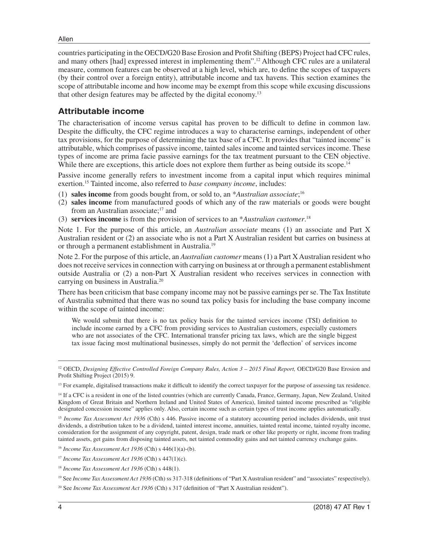#### Allen

countries participating in the OECD/G20 Base Erosion and Profit Shifting (BEPS) Project had CFC rules, and many others [had] expressed interest in implementing them".12 Although CFC rules are a unilateral measure, common features can be observed at a high level, which are, to define the scopes of taxpayers (by their control over a foreign entity), attributable income and tax havens. This section examines the scope of attributable income and how income may be exempt from this scope while excusing discussions that other design features may be affected by the digital economy.13

### **Attributable income**

The characterisation of income versus capital has proven to be difficult to define in common law. Despite the difficulty, the CFC regime introduces a way to characterise earnings, independent of other tax provisions, for the purpose of determining the tax base of a CFC. It provides that "tainted income" is attributable, which comprises of passive income, tainted sales income and tainted services income. These types of income are prima facie passive earnings for the tax treatment pursuant to the CEN objective. While there are exceptions, this article does not explore them further as being outside its scope.<sup>14</sup>

Passive income generally refers to investment income from a capital input which requires minimal exertion.15 Tainted income, also referred to *base company income*, includes:

- (1) **sales income** from goods bought from, or sold to, an \**Australian associate*; 16
- (2) **sales income** from manufactured goods of which any of the raw materials or goods were bought from an Australian associate;<sup>17</sup> and
- (3) **services income** is from the provision of services to an \**Australian customer*. 18

Note 1. For the purpose of this article, an *Australian associate* means (1) an associate and Part X Australian resident or (2) an associate who is not a Part X Australian resident but carries on business at or through a permanent establishment in Australia.19

Note 2. For the purpose of this article, an *Australian customer* means (1) a Part X Australian resident who does not receive services in connection with carrying on business at or through a permanent establishment outside Australia or (2) a non-Part X Australian resident who receives services in connection with carrying on business in Australia.20

There has been criticism that base company income may not be passive earnings per se. The Tax Institute of Australia submitted that there was no sound tax policy basis for including the base company income within the scope of tainted income:

We would submit that there is no tax policy basis for the tainted services income (TSI) definition to include income earned by a CFC from providing services to Australian customers, especially customers who are not associates of the CFC. International transfer pricing tax laws, which are the single biggest tax issue facing most multinational businesses, simply do not permit the 'deflection' of services income

<sup>12</sup> OECD, *Designing Effective Controlled Foreign Company Rules, Action 3 – 2015 Final Report, OECD/G20 Base Erosion and* Profit Shifting Project (2015) 9.

14 If a CFC is a resident in one of the listed countries (which are currently Canada, France, Germany, Japan, New Zealand, United Kingdom of Great Britain and Northern Ireland and United States of America), limited tainted income prescribed as "eligible designated concession income" applies only. Also, certain income such as certain types of trust income applies automatically.

<sup>15</sup> Income Tax Assessment Act 1936 (Cth) s 446. Passive income of a statutory accounting period includes dividends, unit trust dividends, a distribution taken to be a dividend, tainted interest income, annuities, tainted rental income, tainted royalty income, consideration for the assignment of any copyright, patent, design, trade mark or other like property or right, income from trading tainted assets, get gains from disposing tainted assets, net tainted commodity gains and net tainted currency exchange gains.

<sup>16</sup> *Income Tax Assessment Act 1936* (Cth) s 446(1)(a)-(b).

<sup>17</sup> *Income Tax Assessment Act 1936* (Cth) s 447(1)(c).

19 See *Income Tax Assessment Act 1936* (Cth) ss 317-318 (definitions of "Part X Australian resident" and "associates" respectively).

<sup>20</sup> See *Income Tax Assessment Act 1936* (Cth) s 317 (definition of "Part X Australian resident").

<sup>&</sup>lt;sup>13</sup> For example, digitalised transactions make it difficult to identify the correct taxpayer for the purpose of assessing tax residence.

<sup>18</sup> *Income Tax Assessment Act 1936* (Cth) s 448(1).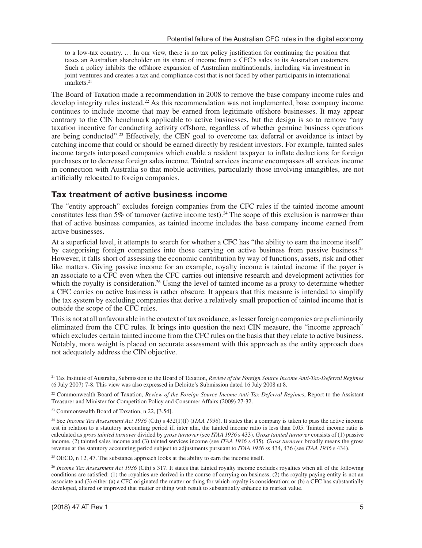to a low-tax country. … In our view, there is no tax policy justification for continuing the position that taxes an Australian shareholder on its share of income from a CFC's sales to its Australian customers. Such a policy inhibits the offshore expansion of Australian multinationals, including via investment in joint ventures and creates a tax and compliance cost that is not faced by other participants in international markets.<sup>21</sup>

The Board of Taxation made a recommendation in 2008 to remove the base company income rules and develop integrity rules instead.22 As this recommendation was not implemented, base company income continues to include income that may be earned from legitimate offshore businesses. It may appear contrary to the CIN benchmark applicable to active businesses, but the design is so to remove "any taxation incentive for conducting activity offshore, regardless of whether genuine business operations are being conducted".<sup>23</sup> Effectively, the CEN goal to overcome tax deferral or avoidance is intact by catching income that could or should be earned directly by resident investors. For example, tainted sales income targets interposed companies which enable a resident taxpayer to inflate deductions for foreign purchases or to decrease foreign sales income. Tainted services income encompasses all services income in connection with Australia so that mobile activities, particularly those involving intangibles, are not artificially relocated to foreign companies.

### **Tax treatment of active business income**

The "entity approach" excludes foreign companies from the CFC rules if the tainted income amount constitutes less than 5% of turnover (active income test).<sup>24</sup> The scope of this exclusion is narrower than that of active business companies, as tainted income includes the base company income earned from active businesses.

At a superficial level, it attempts to search for whether a CFC has "the ability to earn the income itself" by categorising foreign companies into those carrying on active business from passive business.25 However, it falls short of assessing the economic contribution by way of functions, assets, risk and other like matters. Giving passive income for an example, royalty income is tainted income if the payer is an associate to a CFC even when the CFC carries out intensive research and development activities for which the royalty is consideration.<sup>26</sup> Using the level of tainted income as a proxy to determine whether a CFC carries on active business is rather obscure. It appears that this measure is intended to simplify the tax system by excluding companies that derive a relatively small proportion of tainted income that is outside the scope of the CFC rules.

This is not at all unfavourable in the context of tax avoidance, as lesser foreign companies are preliminarily eliminated from the CFC rules. It brings into question the next CIN measure, the "income approach" which excludes certain tainted income from the CFC rules on the basis that they relate to active business. Notably, more weight is placed on accurate assessment with this approach as the entity approach does not adequately address the CIN objective.

 $25$  OECD, n 12, 47. The substance approach looks at the ability to earn the income itself.

<sup>21</sup> Tax Institute of Australia, Submission to the Board of Taxation, *Review of the Foreign Source Income Anti-Tax-Deferral Regimes* (6 July 2007) 7-8. This view was also expressed in Deloitte's Submission dated 16 July 2008 at 8.

<sup>22</sup> Commonwealth Board of Taxation, *Review of the Foreign Source Income Anti-Tax-Deferral Regimes*, Report to the Assistant Treasurer and Minister for Competition Policy and Consumer Affairs (2009) 27-32.

<sup>23</sup> Commonwealth Board of Taxation, n 22, [3.54].

<sup>&</sup>lt;sup>24</sup> See *Income Tax Assessment Act 1936* (Cth) s 432(1)(f) (*ITAA 1936*). It states that a company is taken to pass the active income test in relation to a statutory accounting period if, inter alia, the tainted income ratio is less than 0.05. Tainted income ratio is calculated as *gross tainted turnover* divided by *gross turnover* (see *ITAA 1936* s 433). *Gross tainted turnover* consists of (1) passive income, (2) tainted sales income and (3) tainted services income (see *ITAA 1936* s 435)*. Gross turnover* broadly means the gross revenue at the statutory accounting period subject to adjustments pursuant to *ITAA 1936* ss 434, 436 (see *ITAA 1936* s 434).

<sup>&</sup>lt;sup>26</sup> *Income Tax Assessment Act 1936* (Cth) s 317. It states that tainted royalty income excludes royalties when all of the following conditions are satisfied: (1) the royalties are derived in the course of carrying on business, (2) the royalty paying entity is not an associate and (3) either (a) a CFC originated the matter or thing for which royalty is consideration; or (b) a CFC has substantially developed, altered or improved that matter or thing with result to substantially enhance its market value.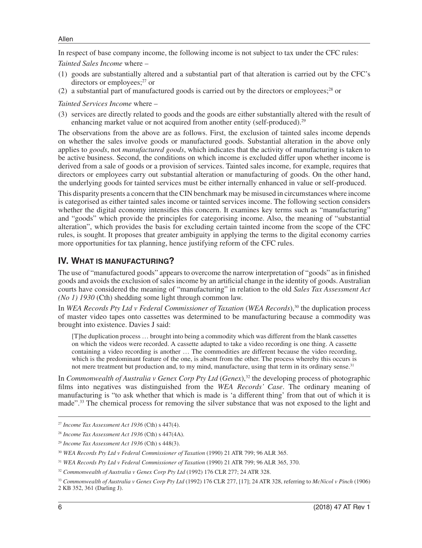In respect of base company income, the following income is not subject to tax under the CFC rules:

*Tainted Sales Income* where –

- (1) goods are substantially altered and a substantial part of that alteration is carried out by the CFC's directors or employees; $27$  or
- (2) a substantial part of manufactured goods is carried out by the directors or employees; $^{28}$  or

*Tainted Services Income* where –

(3) services are directly related to goods and the goods are either substantially altered with the result of enhancing market value or not acquired from another entity (self-produced).<sup>29</sup>

The observations from the above are as follows. First, the exclusion of tainted sales income depends on whether the sales involve goods or manufactured goods. Substantial alteration in the above only applies to *goods*, not *manufactured goods*, which indicates that the activity of manufacturing is taken to be active business. Second, the conditions on which income is excluded differ upon whether income is derived from a sale of goods or a provision of services. Tainted sales income, for example, requires that directors or employees carry out substantial alteration or manufacturing of goods. On the other hand, the underlying goods for tainted services must be either internally enhanced in value or self-produced.

This disparity presents a concern that the CIN benchmark may be misused in circumstances where income is categorised as either tainted sales income or tainted services income. The following section considers whether the digital economy intensifies this concern. It examines key terms such as "manufacturing" and "goods" which provide the principles for categorising income. Also, the meaning of "substantial alteration", which provides the basis for excluding certain tainted income from the scope of the CFC rules, is sought. It proposes that greater ambiguity in applying the terms to the digital economy carries more opportunities for tax planning, hence justifying reform of the CFC rules.

### **IV. WHAT IS MANUFACTURING?**

The use of "manufactured goods" appears to overcome the narrow interpretation of "goods" as in finished goods and avoids the exclusion of sales income by an artificial change in the identity of goods. Australian courts have considered the meaning of "manufacturing" in relation to the old *Sales Tax Assessment Act (No 1) 1930* (Cth) shedding some light through common law.

In *WEA Records Pty Ltd v Federal Commissioner of Taxation* (*WEA Records*),30 the duplication process of master video tapes onto cassettes was determined to be manufacturing because a commodity was brought into existence. Davies J said:

[T]he duplication process … brought into being a commodity which was different from the blank cassettes on which the videos were recorded. A cassette adapted to take a video recording is one thing. A cassette containing a video recording is another … The commodities are different because the video recording, which is the predominant feature of the one, is absent from the other. The process whereby this occurs is not mere treatment but production and, to my mind, manufacture, using that term in its ordinary sense.<sup>31</sup>

In *Commonwealth of Australia v Genex Corp Pty Ltd* (*Genex*),32 the developing process of photographic films into negatives was distinguished from the *WEA Records' Case*. The ordinary meaning of manufacturing is "to ask whether that which is made is 'a different thing' from that out of which it is made".33 The chemical process for removing the silver substance that was not exposed to the light and

<sup>27</sup> *Income Tax Assessment Act 1936* (Cth) s 447(4).

<sup>28</sup> *Income Tax Assessment Act 1936* (Cth) s 447(4A).

<sup>29</sup> *Income Tax Assessment Act 1936* (Cth) s 448(3).

<sup>30</sup> *WEA Records Pty Ltd v Federal Commissioner of Taxation* (1990) 21 ATR 799; 96 ALR 365.

<sup>31</sup> *WEA Records Pty Ltd v Federal Commissioner of Taxation* (1990) 21 ATR 799; 96 ALR 365, 370.

<sup>32</sup> *Commonwealth of Australia v Genex Corp Pty Ltd* (1992) 176 CLR 277; 24 ATR 328.

<sup>33</sup> *Commonwealth of Australia v Genex Corp Pty Ltd* (1992) 176 CLR 277, [17]; 24 ATR 328, referring to *McNicol v Pinch* (1906) 2 KB 352, 361 (Darling J).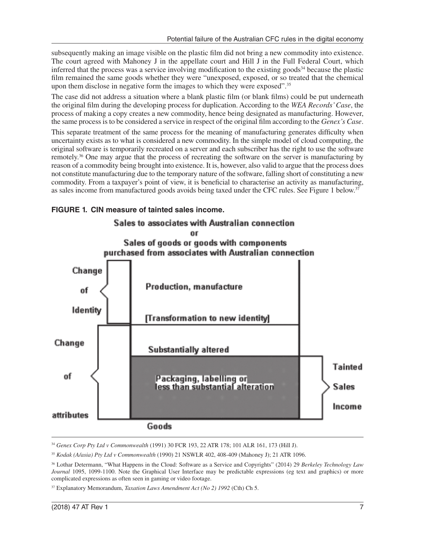subsequently making an image visible on the plastic film did not bring a new commodity into existence. The court agreed with Mahoney J in the appellate court and Hill J in the Full Federal Court, which inferred that the process was a service involving modification to the existing goods<sup>34</sup> because the plastic film remained the same goods whether they were "unexposed, exposed, or so treated that the chemical upon them disclose in negative form the images to which they were exposed".<sup>35</sup>

The case did not address a situation where a blank plastic film (or blank films) could be put underneath the original film during the developing process for duplication. According to the *WEA Records' Case*, the process of making a copy creates a new commodity, hence being designated as manufacturing. However, the same process is to be considered a service in respect of the original film according to the *Genex's Case*.

This separate treatment of the same process for the meaning of manufacturing generates difficulty when uncertainty exists as to what is considered a new commodity. In the simple model of cloud computing, the original software is temporarily recreated on a server and each subscriber has the right to use the software remotely.36 One may argue that the process of recreating the software on the server is manufacturing by reason of a commodity being brought into existence. It is, however, also valid to argue that the process does not constitute manufacturing due to the temporary nature of the software, falling short of constituting a new commodity. From a taxpayer's point of view, it is beneficial to characterise an activity as manufacturing, as sales income from manufactured goods avoids being taxed under the CFC rules. See Figure 1 below.<sup>37</sup>



**FIGURE 1. CIN measure of tainted sales income.**

<sup>34</sup> *Genex Corp Pty Ltd v Commonwealth* (1991) 30 FCR 193, 22 ATR 178; 101 ALR 161, 173 (Hill J).

<sup>35</sup> *Kodak (A/asia) Pty Ltd v Commonwealth* (1990) 21 NSWLR 402, 408-409 (Mahoney J); 21 ATR 1096.

36 Lothar Determann, "What Happens in the Cloud: Software as a Service and Copyrights" (2014) 29 *Berkeley Technology Law Journal* 1095, 1099-1100. Note the Graphical User Interface may be predictable expressions (eg text and graphics) or more complicated expressions as often seen in gaming or video footage.

37 Explanatory Memorandum, *Taxation Laws Amendment Act (No 2) 1992* (Cth) Ch 5.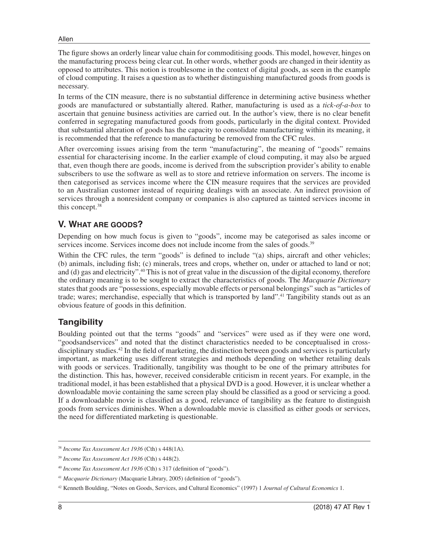The figure shows an orderly linear value chain for commoditising goods. This model, however, hinges on the manufacturing process being clear cut. In other words, whether goods are changed in their identity as opposed to attributes. This notion is troublesome in the context of digital goods, as seen in the example of cloud computing. It raises a question as to whether distinguishing manufactured goods from goods is necessary.

In terms of the CIN measure, there is no substantial difference in determining active business whether goods are manufactured or substantially altered. Rather, manufacturing is used as a *tick-of-a-box* to ascertain that genuine business activities are carried out. In the author's view, there is no clear benefit conferred in segregating manufactured goods from goods, particularly in the digital context. Provided that substantial alteration of goods has the capacity to consolidate manufacturing within its meaning, it is recommended that the reference to manufacturing be removed from the CFC rules.

After overcoming issues arising from the term "manufacturing", the meaning of "goods" remains essential for characterising income. In the earlier example of cloud computing, it may also be argued that, even though there are goods, income is derived from the subscription provider's ability to enable subscribers to use the software as well as to store and retrieve information on servers. The income is then categorised as services income where the CIN measure requires that the services are provided to an Australian customer instead of requiring dealings with an associate. An indirect provision of services through a nonresident company or companies is also captured as tainted services income in this concept.38

# **V. WHAT ARE GOODS?**

Depending on how much focus is given to "goods", income may be categorised as sales income or services income. Services income does not include income from the sales of goods.<sup>39</sup>

Within the CFC rules, the term "goods" is defined to include "(a) ships, aircraft and other vehicles; (b) animals, including fish; (c) minerals, trees and crops, whether on, under or attached to land or not; and (d) gas and electricity".40 This is not of great value in the discussion of the digital economy, therefore the ordinary meaning is to be sought to extract the characteristics of goods. The *Macquarie Dictionary* states that goods are "possessions, especially movable effects or personal belongings" such as "articles of trade; wares; merchandise, especially that which is transported by land".41 Tangibility stands out as an obvious feature of goods in this definition.

# **Tangibility**

Boulding pointed out that the terms "goods" and "services" were used as if they were one word, "goodsandservices" and noted that the distinct characteristics needed to be conceptualised in crossdisciplinary studies.42 In the field of marketing, the distinction between goods and services is particularly important, as marketing uses different strategies and methods depending on whether retailing deals with goods or services. Traditionally, tangibility was thought to be one of the primary attributes for the distinction. This has, however, received considerable criticism in recent years. For example, in the traditional model, it has been established that a physical DVD is a good. However, it is unclear whether a downloadable movie containing the same screen play should be classified as a good or servicing a good. If a downloadable movie is classified as a good, relevance of tangibility as the feature to distinguish goods from services diminishes. When a downloadable movie is classified as either goods or services, the need for differentiated marketing is questionable.

<sup>38</sup> *Income Tax Assessment Act 1936* (Cth) s 448(1A).

<sup>39</sup> *Income Tax Assessment Act 1936* (Cth) s 448(2).

<sup>40</sup> *Income Tax Assessment Act 1936* (Cth) s 317 (definition of "goods").

<sup>41</sup> *Macquarie Dictionary* (Macquarie Library, 2005) (definition of "goods").

<sup>42</sup> Kenneth Boulding, "Notes on Goods, Services, and Cultural Economics" (1997) 1 *Journal of Cultural Economics* 1.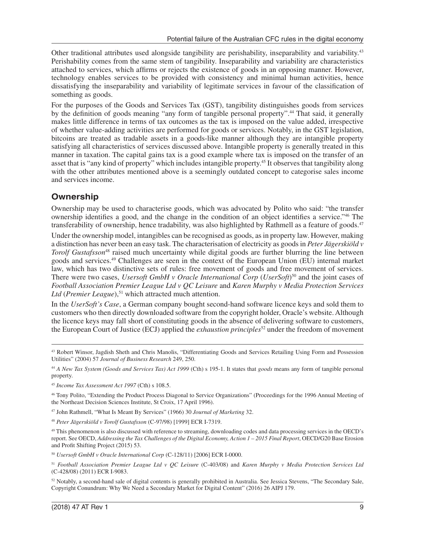Other traditional attributes used alongside tangibility are perishability, inseparability and variability.43 Perishability comes from the same stem of tangibility. Inseparability and variability are characteristics attached to services, which affirms or rejects the existence of goods in an opposing manner. However, technology enables services to be provided with consistency and minimal human activities, hence dissatisfying the inseparability and variability of legitimate services in favour of the classification of something as goods.

For the purposes of the Goods and Services Tax (GST), tangibility distinguishes goods from services by the definition of goods meaning "any form of tangible personal property".<sup>44</sup> That said, it generally makes little difference in terms of tax outcomes as the tax is imposed on the value added, irrespective of whether value-adding activities are performed for goods or services. Notably, in the GST legislation, bitcoins are treated as tradable assets in a goods-like manner although they are intangible property satisfying all characteristics of services discussed above. Intangible property is generally treated in this manner in taxation. The capital gains tax is a good example where tax is imposed on the transfer of an asset that is "any kind of property" which includes intangible property.45 It observes that tangibility along with the other attributes mentioned above is a seemingly outdated concept to categorise sales income and services income.

# **Ownership**

Ownership may be used to characterise goods, which was advocated by Polito who said: "the transfer ownership identifies a good, and the change in the condition of an object identifies a service."46 The transferability of ownership, hence tradability, was also highlighted by Rathmell as a feature of goods.<sup>47</sup>

Under the ownership model, intangibles can be recognised as goods, as in property law. However, making a distinction has never been an easy task. The characterisation of electricity as goods in *Peter Jägerskiöld v Torolf Gustafsson*48 raised much uncertainty while digital goods are further blurring the line between goods and services.49 Challenges are seen in the context of the European Union (EU) internal market law, which has two distinctive sets of rules: free movement of goods and free movement of services. There were two cases, *Usersoft GmbH v Oracle International Corp* (*UserSoft*)50 and the joint cases of *Football Association Premier League Ltd v QC Leisure* and *Karen Murphy v Media Protection Services Ltd* (*Premier League*),<sup>51</sup> which attracted much attention.

In the *UserSoft's Case*, a German company bought second-hand software licence keys and sold them to customers who then directly downloaded software from the copyright holder, Oracle's website. Although the licence keys may fall short of constituting goods in the absence of delivering software to customers, the European Court of Justice (ECJ) applied the *exhaustion principles*52 under the freedom of movement

47 John Rathmell, "What Is Meant By Services" (1966) 30 *Journal of Marketing* 32.

<sup>48</sup> *Peter Jägerskiöld v Torolf Gustafsson* (C-97/98) [1999] ECR I-7319.

<sup>49</sup> This phenomenon is also discussed with reference to streaming, downloading codes and data processing services in the OECD's report. See OECD, *Addressing the Tax Challenges of the Digital Economy, Action 1 – 2015 Final Report*, OECD/G20 Base Erosion and Profit Shifting Project (2015) 53.

<sup>50</sup> *Usersoft GmbH v Oracle International Corp* (C-128/11) [2006] ECR I-0000.

<sup>43</sup> Robert Winsor, Jagdish Sheth and Chris Manolis, "Differentiating Goods and Services Retailing Using Form and Possession Utilities" (2004) 57 *Journal of Business Research* 249, 250.

<sup>44</sup> *A New Tax System (Goods and Services Tax) Act 1999* (Cth) s 195-1. It states that *goods* means any form of tangible personal property.

<sup>45</sup> *Income Tax Assessment Act 1997* (Cth) s 108.5.

<sup>46</sup> Tony Polito, "Extending the Product Process Diagonal to Service Organizations" (Proceedings for the 1996 Annual Meeting of the Northeast Decision Sciences Institute, St Croix, 17 April 1996).

<sup>51</sup> *Football Association Premier League Ltd v QC Leisure* (C-403/08) and *Karen Murphy v Media Protection Services Ltd* (C-428/08) (2011) ECR I-9083.

<sup>52</sup> Notably, a second-hand sale of digital contents is generally prohibited in Australia. See Jessica Stevens, "The Secondary Sale, Copyright Conundrum: Why We Need a Secondary Market for Digital Content" (2016) 26 AIPJ 179.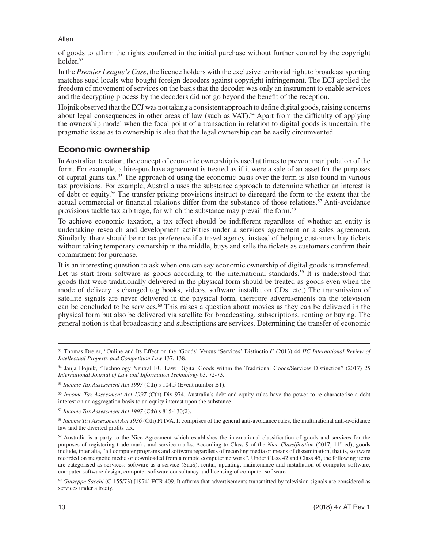of goods to affirm the rights conferred in the initial purchase without further control by the copyright holder.<sup>53</sup>

In the *Premier League's Case*, the licence holders with the exclusive territorial right to broadcast sporting matches sued locals who bought foreign decoders against copyright infringement. The ECJ applied the freedom of movement of services on the basis that the decoder was only an instrument to enable services and the decrypting process by the decoders did not go beyond the benefit of the reception.

Hojnik observed that the ECJ was not taking a consistent approach to define digital goods, raising concerns about legal consequences in other areas of law (such as VAT).<sup>54</sup> Apart from the difficulty of applying the ownership model when the focal point of a transaction in relation to digital goods is uncertain, the pragmatic issue as to ownership is also that the legal ownership can be easily circumvented.

### **Economic ownership**

In Australian taxation, the concept of economic ownership is used at times to prevent manipulation of the form. For example, a hire-purchase agreement is treated as if it were a sale of an asset for the purposes of capital gains tax.55 The approach of using the economic basis over the form is also found in various tax provisions. For example, Australia uses the substance approach to determine whether an interest is of debt or equity.56 The transfer pricing provisions instruct to disregard the form to the extent that the actual commercial or financial relations differ from the substance of those relations.57 Anti-avoidance provisions tackle tax arbitrage, for which the substance may prevail the form.58

To achieve economic taxation, a tax effect should be indifferent regardless of whether an entity is undertaking research and development activities under a services agreement or a sales agreement. Similarly, there should be no tax preference if a travel agency, instead of helping customers buy tickets without taking temporary ownership in the middle, buys and sells the tickets as customers confirm their commitment for purchase.

It is an interesting question to ask when one can say economic ownership of digital goods is transferred. Let us start from software as goods according to the international standards.<sup>59</sup> It is understood that goods that were traditionally delivered in the physical form should be treated as goods even when the mode of delivery is changed (eg books, videos, software installation CDs, etc.) The transmission of satellite signals are never delivered in the physical form, therefore advertisements on the television can be concluded to be services.<sup>60</sup> This raises a question about movies as they can be delivered in the physical form but also be delivered via satellite for broadcasting, subscriptions, renting or buying. The general notion is that broadcasting and subscriptions are services. Determining the transfer of economic

<sup>57</sup> *Income Tax Assessment Act 1997* (Cth) s 815-130(2).

<sup>58</sup> *Income Tax Assessment Act 1936* (Cth) Pt IVA. It comprises of the general anti-avoidance rules, the multinational anti-avoidance law and the diverted profits tax.

59 Australia is a party to the Nice Agreement which establishes the international classification of goods and services for the purposes of registering trade marks and service marks. According to Class 9 of the *Nice Classification* (2017, 11<sup>th</sup> ed), goods include, inter alia, "all computer programs and software regardless of recording media or means of dissemination, that is, software recorded on magnetic media or downloaded from a remote computer network". Under Class 42 and Class 45, the following items are categorised as services: software-as-a-service (SaaS), rental, updating, maintenance and installation of computer software, computer software design, computer software consultancy and licensing of computer software.

<sup>53</sup> Thomas Dreier, "Online and Its Effect on the 'Goods' Versus 'Services' Distinction" (2013) 44 *IIC International Review of Intellectual Property and Competition Law* 137, 138.

<sup>54</sup> Janja Hojnik, "Technology Neutral EU Law: Digital Goods within the Traditional Goods/Services Distinction" (2017) 25 *International Journal of Law and Information Technology* 63, 72-73.

<sup>55</sup> *Income Tax Assessment Act 1997* (Cth) s 104.5 (Event number B1).

<sup>56</sup> *Income Tax Assessment Act 1997* (Cth) Div 974. Australia's debt-and-equity rules have the power to re-characterise a debt interest on an aggregation basis to an equity interest upon the substance.

<sup>60</sup> *Giuseppe Sacchi* (C-155/73) [1974] ECR 409. It affirms that advertisements transmitted by television signals are considered as services under a treaty.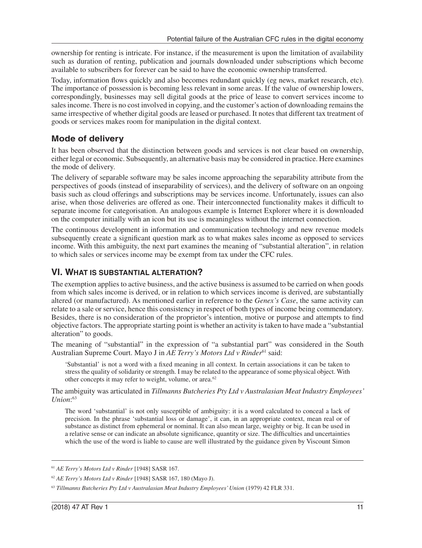ownership for renting is intricate. For instance, if the measurement is upon the limitation of availability such as duration of renting, publication and journals downloaded under subscriptions which become available to subscribers for forever can be said to have the economic ownership transferred.

Today, information flows quickly and also becomes redundant quickly (eg news, market research, etc). The importance of possession is becoming less relevant in some areas. If the value of ownership lowers, correspondingly, businesses may sell digital goods at the price of lease to convert services income to sales income. There is no cost involved in copying, and the customer's action of downloading remains the same irrespective of whether digital goods are leased or purchased. It notes that different tax treatment of goods or services makes room for manipulation in the digital context.

## **Mode of delivery**

It has been observed that the distinction between goods and services is not clear based on ownership, either legal or economic. Subsequently, an alternative basis may be considered in practice. Here examines the mode of delivery.

The delivery of separable software may be sales income approaching the separability attribute from the perspectives of goods (instead of inseparability of services), and the delivery of software on an ongoing basis such as cloud offerings and subscriptions may be services income. Unfortunately, issues can also arise, when those deliveries are offered as one. Their interconnected functionality makes it difficult to separate income for categorisation. An analogous example is Internet Explorer where it is downloaded on the computer initially with an icon but its use is meaningless without the internet connection.

The continuous development in information and communication technology and new revenue models subsequently create a significant question mark as to what makes sales income as opposed to services income. With this ambiguity, the next part examines the meaning of "substantial alteration", in relation to which sales or services income may be exempt from tax under the CFC rules.

# **VI. WHAT IS SUBSTANTIAL ALTERATION?**

The exemption applies to active business, and the active business is assumed to be carried on when goods from which sales income is derived, or in relation to which services income is derived, are substantially altered (or manufactured). As mentioned earlier in reference to the *Genex's Case*, the same activity can relate to a sale or service, hence this consistency in respect of both types of income being commendatory. Besides, there is no consideration of the proprietor's intention, motive or purpose and attempts to find objective factors. The appropriate starting point is whether an activity is taken to have made a "substantial alteration" to goods.

The meaning of "substantial" in the expression of "a substantial part" was considered in the South Australian Supreme Court. Mayo J in *AE Terry's Motors Ltd v Rinder*<sup>61</sup> said:

'Substantial' is not a word with a fixed meaning in all context. In certain associations it can be taken to stress the quality of solidarity or strength. I may be related to the appearance of some physical object. With other concepts it may refer to weight, volume, or area.62

The ambiguity was articulated in *Tillmanns Butcheries Pty Ltd v Australasian Meat Industry Employees' Union*: 63

The word 'substantial' is not only susceptible of ambiguity: it is a word calculated to conceal a lack of precision. In the phrase 'substantial loss or damage', it can, in an appropriate context, mean real or of substance as distinct from ephemeral or nominal. It can also mean large, weighty or big. It can be used in a relative sense or can indicate an absolute significance, quantity or size. The difficulties and uncertainties which the use of the word is liable to cause are well illustrated by the guidance given by Viscount Simon

<sup>61</sup> *AE Terry's Motors Ltd v Rinder* [1948] SASR 167.

<sup>62</sup> *AE Terry's Motors Ltd v Rinder* [1948] SASR 167, 180 (Mayo J).

<sup>63</sup> *Tillmanns Butcheries Pty Ltd v Australasian Meat Industry Employees' Union* (1979) 42 FLR 331.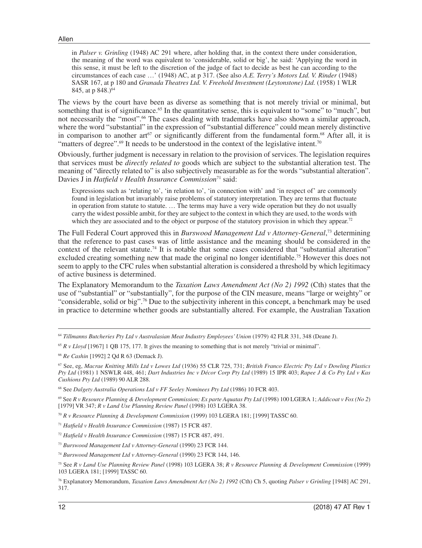in *Palser v. Grinling* (1948) AC 291 where, after holding that, in the context there under consideration, the meaning of the word was equivalent to 'considerable, solid or big', he said: 'Applying the word in this sense, it must be left to the discretion of the judge of fact to decide as best he can according to the circumstances of each case …' (1948) AC, at p 317. (See also *A.E. Terry's Motors Ltd. V. Rinder* (1948) SASR 167, at p 180 and *Granada Theatres Ltd. V. Freehold Investment (Leytonstone) Ltd.* (1958) 1 WLR 845, at p  $848.\overline{)^64}$ 

The views by the court have been as diverse as something that is not merely trivial or minimal, but something that is of significance.<sup>65</sup> In the quantitative sense, this is equivalent to "some" to "much", but not necessarily the "most".<sup>66</sup> The cases dealing with trademarks have also shown a similar approach, where the word "substantial" in the expression of "substantial difference" could mean merely distinctive in comparison to another art $67$  or significantly different from the fundamental form.<sup>68</sup> After all, it is "matters of degree".<sup>69</sup> It needs to be understood in the context of the legislative intent.<sup>70</sup>

Obviously, further judgment is necessary in relation to the provision of services. The legislation requires that services must be *directly related to* goods which are subject to the substantial alteration test. The meaning of "directly related to" is also subjectively measurable as for the words "substantial alteration". Davies J in *Hatfield v Health Insurance Commission*<sup>71</sup> said:

Expressions such as 'relating to', 'in relation to', 'in connection with' and 'in respect of' are commonly found in legislation but invariably raise problems of statutory interpretation. They are terms that fluctuate in operation from statute to statute. … The terms may have a very wide operation but they do not usually carry the widest possible ambit, for they are subject to the context in which they are used, to the words with which they are associated and to the object or purpose of the statutory provision in which they appear.<sup>72</sup>

The Full Federal Court approved this in *Burswood Management Ltd v Attorney-General*, 73 determining that the reference to past cases was of little assistance and the meaning should be considered in the context of the relevant statute.74 It is notable that some cases considered that "substantial alteration" excluded creating something new that made the original no longer identifiable.<sup>75</sup> However this does not seem to apply to the CFC rules when substantial alteration is considered a threshold by which legitimacy of active business is determined.

The Explanatory Memorandum to the *Taxation Laws Amendment Act (No 2) 1992* (Cth) states that the use of "substantial" or "substantially", for the purpose of the CIN measure, means "large or weighty" or "considerable, solid or big".<sup>76</sup> Due to the subjectivity inherent in this concept, a benchmark may be used in practice to determine whether goods are substantially altered. For example, the Australian Taxation

<sup>64</sup> *Tillmanns Butcheries Pty Ltd v Australasian Meat Industry Employees' Union* (1979) 42 FLR 331, 348 (Deane J).

<sup>65</sup> *R v Lloyd* [1967] 1 QB 175, 177. It gives the meaning to something that is not merely "trivial or minimal".

<sup>66</sup> *Re Cashin* [1992] 2 Qd R 63 (Demack J).

<sup>67</sup> See, eg, *Macrae Knitting Mills Ltd v Lowes Ltd* (1936) 55 CLR 725, 731; *British Franco Electric Pty Ltd v Dowling Plastics Pty Ltd* (1981) 1 NSWLR 448, 461; *Dart Industries Inc v Décor Corp Pty Ltd* (1989) 15 IPR 403; *Rapee J & Co Pty Ltd v Kas Cushions Pty Ltd* (1989) 90 ALR 288.

<sup>68</sup> See *Dalgety Australia Operations Ltd v FF Seeley Nominees Pty Ltd* (1986) 10 FCR 403.

<sup>69</sup> See *R v Resource Planning & Development Commission; Ex parte Aquatas Pty Ltd* (1998) 100 LGERA 1; *Addicoat v Fox (No 2*) [1979] VR 347; *R v Land Use Planning Review Panel* (1998) 103 LGERA 38.

<sup>70</sup> *R v Resource Planning & Development Commission* (1999) 103 LGERA 181; [1999] TASSC 60.

<sup>71</sup> *Hatfield v Health Insurance Commission* (1987) 15 FCR 487.

<sup>72</sup> *Hatfield v Health Insurance Commission* (1987) 15 FCR 487, 491.

<sup>73</sup> *Burswood Management Ltd v Attorney-General* (1990) 23 FCR 144.

<sup>74</sup> *Burswood Management Ltd v Attorney-General* (1990) 23 FCR 144, 146.

<sup>75</sup> See *R v Land Use Planning Review Panel* (1998) 103 LGERA 38; *R v Resource Planning & Development Commission* (1999) 103 LGERA 181; [1999] TASSC 60.

<sup>76</sup> Explanatory Memorandum, *Taxation Laws Amendment Act (No 2) 1992* (Cth) Ch 5, quoting *Palser v Grinling* [1948] AC 291, 317.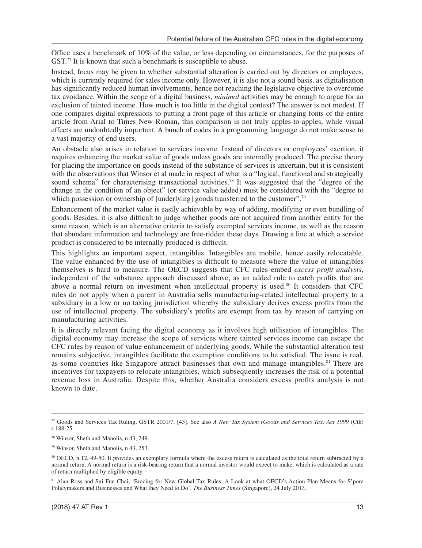Office uses a benchmark of 10% of the value, or less depending on circumstances, for the purposes of GST.<sup>77</sup> It is known that such a benchmark is susceptible to abuse.

Instead, focus may be given to whether substantial alteration is carried out by directors or employees, which is currently required for sales income only. However, it is also not a sound basis, as digitalisation has significantly reduced human involvements, hence not reaching the legislative objective to overcome tax avoidance. Within the scope of a digital business, *minimal* activities may be enough to argue for an exclusion of tainted income. How much is too little in the digital context? The answer is not modest. If one compares digital expressions to putting a front page of this article or changing fonts of the entire article from Arial to Times New Roman, this comparison is not truly apples-to-apples, while visual effects are undoubtedly important. A bunch of codes in a programming language do not make sense to a vast majority of end users.

An obstacle also arises in relation to services income. Instead of directors or employees' exertion, it requires enhancing the market value of goods unless goods are internally produced. The precise theory for placing the importance on goods instead of the substance of services is uncertain, but it is consistent with the observations that Winsor et al made in respect of what is a "logical, functional and strategically sound schema" for characterising transactional activities.<sup>78</sup> It was suggested that the "degree of the change in the condition of an object" (or service value added) must be considered with the "degree to which possession or ownership of [underlying] goods transferred to the customer".<sup>79</sup>

Enhancement of the market value is easily achievable by way of adding, modifying or even bundling of goods. Besides, it is also difficult to judge whether goods are not acquired from another entity for the same reason, which is an alternative criteria to satisfy exempted services income, as well as the reason that abundant information and technology are free-ridden these days. Drawing a line at which a service product is considered to be internally produced is difficult.

This highlights an important aspect, intangibles. Intangibles are mobile, hence easily relocatable. The value enhanced by the use of intangibles is difficult to measure where the value of intangibles themselves is hard to measure. The OECD suggests that CFC rules embed *excess profit analysis*, independent of the substance approach discussed above, as an added rule to catch profits that are above a normal return on investment when intellectual property is used.<sup>80</sup> It considers that CFC rules do not apply when a parent in Australia sells manufacturing-related intellectual property to a subsidiary in a low or no taxing jurisdiction whereby the subsidiary derives excess profits from the use of intellectual property. The subsidiary's profits are exempt from tax by reason of carrying on manufacturing activities.

It is directly relevant facing the digital economy as it involves high utilisation of intangibles. The digital economy may increase the scope of services where tainted services income can escape the CFC rules by reason of value enhancement of underlying goods. While the substantial alteration test remains subjective, intangibles facilitate the exemption conditions to be satisfied. The issue is real, as some countries like Singapore attract businesses that own and manage intangibles.81 There are incentives for taxpayers to relocate intangibles, which subsequently increases the risk of a potential revenue loss in Australia. Despite this, whether Australia considers excess profits analysis is not known to date.

<sup>77</sup> Goods and Services Tax Ruling, GSTR 2001/7, [43]. See also *A New Tax System (Goods and Services Tax) Act 1999* (Cth) s 188-25.

<sup>78</sup> Winsor, Sheth and Manolis, n 43, 249.

<sup>79</sup> Winsor, Sheth and Manolis, n 43, 253.

<sup>80</sup> OECD, n 12, 49-50. It provides an exemplary formula where the excess return is calculated as the total return subtracted by a normal return. A normal return is a risk-bearing return that a normal investor would expect to make, which is calculated as a rate of return multiplied by eligible equity.

<sup>81</sup> Alan Ross and Sui Fun Chai, 'Bracing for New Global Tax Rules: A Look at what OECD's Action Plan Means for S'pore Policymakers and Businesses and What they Need to Do', *The Business Times* (Singapore), 24 July 2013.